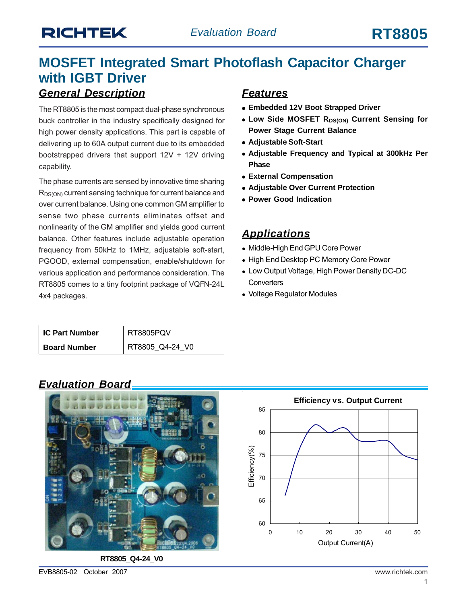## *General Description* **MOSFET Integrated Smart Photoflash Capacitor Charger with IGBT Driver**

The RT8805 is the most compact dual-phase synchronous buck controller in the industry specifically designed for high power density applications. This part is capable of delivering up to 60A output current due to its embedded bootstrapped drivers that support  $12V + 12V$  driving capability.

The phase currents are sensed by innovative time sharing R<sub>DS(ON)</sub> current sensing technique for current balance and over current balance. Using one common GM amplifier to sense two phase currents eliminates offset and nonlinearity of the GM amplifier and yields good current balance. Other features include adjustable operation frequency from 50kHz to 1MHz, adjustable soft-start, PGOOD, external compensation, enable/shutdown for various application and performance consideration. The RT8805 comes to a tiny footprint package of VQFN-24L 4x4 packages.

## **IC Part Number | RT8805PQV Board Number | RT8805\_Q4-24\_V0**

#### *Features*

- $\bullet$  **Embedded 12V Boot Strapped Driver**
- **. Low Side MOSFET RDS(ON) Current Sensing for Power Stage Current Balance**
- **Adjustable Soft-Start**
- **Adjustable Frequency and Typical at 300kHz Per Phase**
- **External Compensation**
- **Adjustable Over Current Protection**
- **Power Good Indication**

#### *Applications*

- Middle-High End GPU Core Power
- High End Desktop PC Memory Core Power
- Low Output Voltage, High Power Density DC-DC **Converters**
- Voltage Regulator Modules

#### *Evaluation Board*



**RT8805\_Q4-24\_V0**

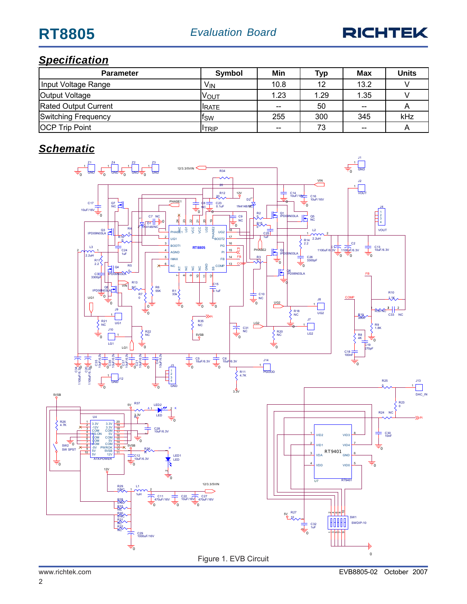

## *Specification*

| <b>Parameter</b>      | Symbol          | Min   | <b>Typ</b> | Max   | <b>Units</b> |
|-----------------------|-----------------|-------|------------|-------|--------------|
| Input Voltage Range   | V <sub>IN</sub> | 10.8  | 12         | 13.2  |              |
| Output Voltage        | VOUT            | 1.23  | 1.29       | 1.35  |              |
| Rated Output Current  | <b>IRATE</b>    | $- -$ | 50         | $- -$ |              |
| Switching Frequency   | tsw             | 255   | 300        | 345   | kHz          |
| <b>OCP Trip Point</b> | <b>ITRIP</b>    | $- -$ | 73         | $- -$ |              |

## *Schematic*

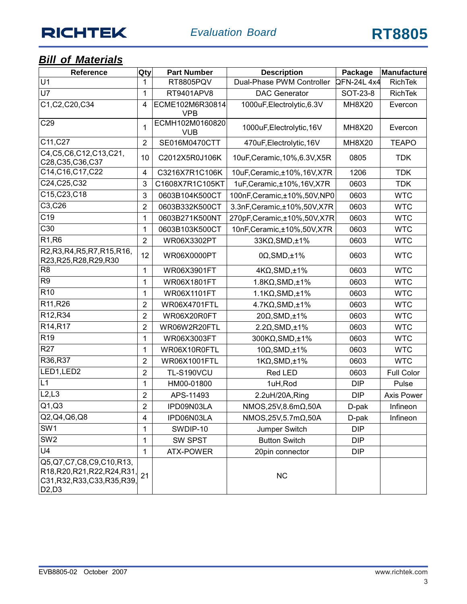# **RICHTEK**

## *Bill of Materials*

| Qty<br><b>Part Number</b><br>Reference                                                              |                  | <b>Description</b>            | Package                        | Manufacture       |                   |
|-----------------------------------------------------------------------------------------------------|------------------|-------------------------------|--------------------------------|-------------------|-------------------|
| $\overline{U1}$                                                                                     | 1                | RT8805PQV                     | Dual-Phase PWM Controller      | <b>QFN-24L4x4</b> | <b>RichTek</b>    |
| <b>U7</b>                                                                                           | 1                | RT9401APV8                    | <b>DAC Generator</b>           | SOT-23-8          | <b>RichTek</b>    |
| C1, C2, C20, C34                                                                                    | 4                | ECME102M6R30814<br><b>VPB</b> | 1000uF, Electrolytic, 6.3V     | <b>MH8X20</b>     | Evercon           |
| C29                                                                                                 | 1                | ECMH102M0160820<br><b>VUB</b> | 1000uF, Electrolytic, 16V      | <b>MH8X20</b>     | Evercon           |
| C11, C27                                                                                            | $\overline{2}$   | SE016M0470CTT                 | 470uF, Electrolytic, 16V       | <b>MH8X20</b>     | <b>TEAPO</b>      |
| C4, C5, C6, C12, C13, C21,<br>C28, C35, C36, C37                                                    | 10               | C2012X5R0J106K                | 10uF, Ceramic, 10%, 6.3V, X5R  | 0805              | <b>TDK</b>        |
| C14, C16, C17, C22                                                                                  | 4                | C3216X7R1C106K                | 10uF, Ceramic, ±10%, 16V, X7R  | 1206              | <b>TDK</b>        |
| C24, C25, C32                                                                                       | 3                | C1608X7R1C105KT               | 1uF, Ceramic, ±10%, 16V, X7R   | 0603              | <b>TDK</b>        |
| C15, C23, C18                                                                                       | 3                | 0603B104K500CT                | 100nF, Ceramic, ±10%, 50V, NP0 | 0603              | <b>WTC</b>        |
| C3,C26                                                                                              | $\overline{2}$   | 0603B332K500CT                | 3.3nF, Ceramic, ±10%, 50V, X7R | 0603              | <b>WTC</b>        |
| C <sub>19</sub>                                                                                     | 1                | 0603B271K500NT                | 270pF, Ceramic, ±10%, 50V, X7R | 0603              | <b>WTC</b>        |
| C30                                                                                                 | 1                | 0603B103K500CT                | 10nF, Ceramic, ±10%, 50V, X7R  | 0603              | <b>WTC</b>        |
| R1, R6                                                                                              | $\overline{2}$   | WR06X3302PT                   | 33KΩ, SMD, ±1%                 | 0603              | <b>WTC</b>        |
| R2, R3, R4, R5, R7, R15, R16,<br>R23, R25, R28, R29, R30                                            | 12               | WR06X0000PT                   | $0\Omega$ , SMD, ±1%           | 0603              | <b>WTC</b>        |
| R <sub>8</sub>                                                                                      | 1                | WR06X3901FT                   | $4K\Omega$ , SMD, ±1%          | 0603              | <b>WTC</b>        |
| R <sub>9</sub>                                                                                      | 1                | WR06X1801FT                   | $1.8K\Omega$ , SMD, $\pm 1\%$  | 0603              | <b>WTC</b>        |
| R <sub>10</sub>                                                                                     | 1                | WR06X1101FT                   | $1.1K\Omega$ , SMD, $\pm 1\%$  | 0603              | <b>WTC</b>        |
| R11, R26                                                                                            | $\overline{2}$   | <b>WR06X4701FTL</b>           | $4.7K\Omega$ , SMD, $\pm 1\%$  | 0603              | <b>WTC</b>        |
| R <sub>12</sub> , R <sub>34</sub>                                                                   | $\overline{2}$   | WR06X20R0FT                   | 20Ω, SMD, ±1%                  | 0603              | <b>WTC</b>        |
| R14, R17                                                                                            | $\overline{2}$   | WR06W2R20FTL                  | $2.2\Omega$ , SMD, $\pm$ 1%    | 0603              | <b>WTC</b>        |
| R <sub>19</sub>                                                                                     | 1                | WR06X3003FT                   | 300KΩ, SMD, ±1%                | 0603              | <b>WTC</b>        |
| R <sub>27</sub>                                                                                     | 1                | WR06X10R0FTL                  | $10\Omega$ , SMD, ±1%          | 0603              | <b>WTC</b>        |
| R36,R37                                                                                             | $\overline{2}$   | WR06X1001FTL                  | $1K\Omega$ , SMD, $\pm 1\%$    | 0603              | <b>WTC</b>        |
| LED1, LED2                                                                                          | $\overline{2}$   | <b>TL-S190VCU</b>             | Red LED                        | 0603              | <b>Full Color</b> |
| L1                                                                                                  | 1                | HM00-01800                    | 1uH, Rod                       | <b>DIP</b>        | Pulse             |
| L2, L3                                                                                              | $\boldsymbol{2}$ | APS-11493                     | 2.2uH/20A,Ring                 | <b>DIP</b>        | <b>Axis Power</b> |
| Q1,Q3                                                                                               | $\overline{2}$   | IPD09N03LA                    | NMOS, 25V, 8.6mΩ, 50A          | D-pak             | Infineon          |
| Q2, Q4, Q6, Q8                                                                                      | $\overline{4}$   | IPD06N03LA                    | NMOS, 25V, 5.7mΩ, 50A          | D-pak             | Infineon          |
| SW <sub>1</sub>                                                                                     | 1                | SWDIP-10                      | Jumper Switch                  | <b>DIP</b>        |                   |
| SW <sub>2</sub>                                                                                     | 1                | SW SPST                       | <b>Button Switch</b>           | <b>DIP</b>        |                   |
| U <sub>4</sub>                                                                                      | 1                | <b>ATX-POWER</b>              | 20pin connector                | <b>DIP</b>        |                   |
| Q5,Q7,C7,C8,C9,C10,R13,<br>R18, R20, R21, R22, R24, R31,<br>C31, R32, R33, C33, R35, R39,<br>D2, D3 | 21               |                               | NC                             |                   |                   |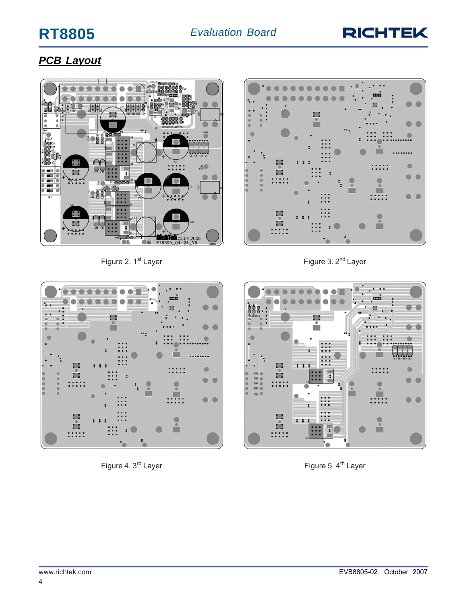# **RT8805**



:::::

 $\bullet$ 

 $\bullet$ 

 $\bullet$ 

◠  $\bullet$ 

 $\Box$ 

#### *PCB Layout*



Figure 2. 1<sup>st</sup> Layer **Figure 3. 2<sup>nd</sup> Layer** Figure 3. 2<sup>nd</sup> Layer



Figure 4. 3<sup>rd</sup> Layer **Figure 5. 4<sup>th</sup> Layer** Figure 5. 4<sup>th</sup> Layer



: : m

 $\mathbf{r}$ ÷

**SIR** 

E.

:::::